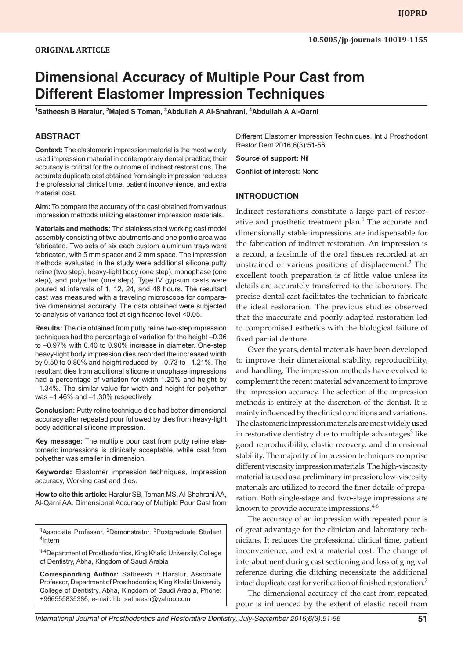# **Dimensional Accuracy of Multiple Pour Cast from Different Elastomer Impression Techniques**

<sup>1</sup>Satheesh B Haralur, <sup>2</sup>Majed S Toman, <sup>3</sup>Abdullah A Al-Shahrani, <sup>4</sup>Abdullah A Al-Qarni

## **ABSTRACT**

**Context:** The elastomeric impression material is the most widely used impression material in contemporary dental practice; their accuracy is critical for the outcome of indirect restorations. The accurate duplicate cast obtained from single impression reduces the professional clinical time, patient inconvenience, and extra material cost.

**Aim:** To compare the accuracy of the cast obtained from various impression methods utilizing elastomer impression materials.

**Materials and methods:** The stainless steel working cast model assembly consisting of two abutments and one pontic area was fabricated. Two sets of six each custom aluminum trays were fabricated, with 5 mm spacer and 2 mm space. The impression methods evaluated in the study were additional silicone putty reline (two step), heavy-light body (one step), monophase (one step), and polyether (one step). Type IV gypsum casts were poured at intervals of 1, 12, 24, and 48 hours. The resultant cast was measured with a traveling microscope for comparative dimensional accuracy. The data obtained were subjected to analysis of variance test at significance level <0.05.

**Results:** The die obtained from putty reline two-step impression techniques had the percentage of variation for the height –0.36 to –0.97% with 0.40 to 0.90% increase in diameter. One-step heavy-light body impression dies recorded the increased width by 0.50 to 0.80% and height reduced by –0.73 to –1.21%. The resultant dies from additional silicone monophase impressions had a percentage of variation for width 1.20% and height by –1.34%. The similar value for width and height for polyether was –1.46% and –1.30% respectively.

**Conclusion:** Putty reline technique dies had better dimensional accuracy after repeated pour followed by dies from heavy-light body additional silicone impression.

**Key message:** The multiple pour cast from putty reline elastomeric impressions is clinically acceptable, while cast from polyether was smaller in dimension.

**Keywords:** Elastomer impression techniques, Impression accuracy, Working cast and dies.

**How to cite this article:** Haralur SB, Toman MS, Al-Shahrani AA, Al-Qarni AA. Dimensional Accuracy of Multiple Pour Cast from

<sup>1</sup>Associate Professor, <sup>2</sup>Demonstrator, <sup>3</sup>Postgraduate Student<br><sup>4</sup>Intern  $4$ Intern

<sup>1-4</sup>Department of Prosthodontics, King Khalid University, College of Dentistry, Abha, Kingdom of Saudi Arabia

**Corresponding Author:** Satheesh B Haralur, Associate Professor, Department of Prosthodontics, King Khalid University College of Dentistry, Abha, Kingdom of Saudi Arabia, Phone: +966555835386, e-mail: hb\_satheesh@yahoo.com

Different Elastomer Impression Techniques. Int J Prosthodont Restor Dent 2016;6(3):51-56.

**Source of support:** Nil

**Conflict of interest:** None

## **INTRODUCTION**

Indirect restorations constitute a large part of restorative and prosthetic treatment plan. $1$  The accurate and dimensionally stable impressions are indispensable for the fabrication of indirect restoration. An impression is a record, a facsimile of the oral tissues recorded at an unstrained or various positions of displacement.<sup>2</sup> The excellent tooth preparation is of little value unless its details are accurately transferred to the laboratory. The precise dental cast facilitates the technician to fabricate the ideal restoration. The previous studies observed that the inaccurate and poorly adapted restoration led to compromised esthetics with the biological failure of fixed partial denture.

Over the years, dental materials have been developed to improve their dimensional stability, reproducibility, and handling. The impression methods have evolved to complement the recent material advancement to improve the impression accuracy. The selection of the impression methods is entirely at the discretion of the dentist. It is mainly influenced by the clinical conditions and variations. The elastomeric impression materials are most widely used in restorative dentistry due to multiple advantages<sup>3</sup> like good reproducibility, elastic recovery, and dimensional stability. The majority of impression techniques comprise different viscosity impression materials. The high-viscosity material is used as a preliminary impression; low-viscosity materials are utilized to record the finer details of preparation. Both single-stage and two-stage impressions are known to provide accurate impressions.<sup>4-6</sup>

The accuracy of an impression with repeated pour is of great advantage for the clinician and laboratory technicians. It reduces the professional clinical time, patient inconvenience, and extra material cost. The change of interabutment during cast sectioning and loss of gingival reference during die ditching necessitate the additional intact duplicate cast for verification of finished restoration.<sup>7</sup>

The dimensional accuracy of the cast from repeated pour is influenced by the extent of elastic recoil from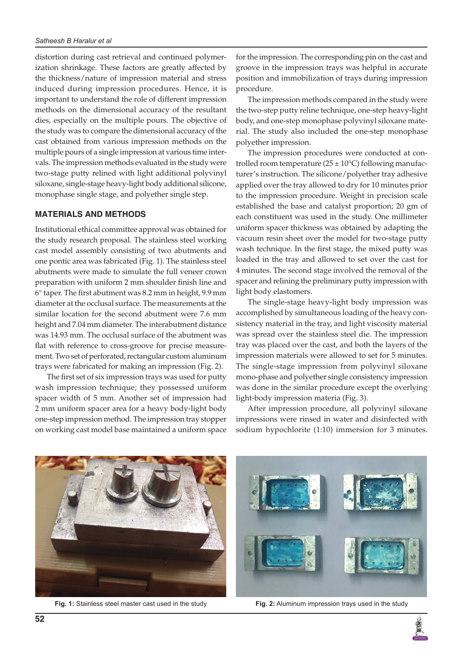distortion during cast retrieval and continued polymerization shrinkage. These factors are greatly affected by the thickness/nature of impression material and stress induced during impression procedures. Hence, it is important to understand the role of different impression methods on the dimensional accuracy of the resultant dies, especially on the multiple pours. The objective of the study was to compare the dimensional accuracy of the cast obtained from various impression methods on the multiple pours of a single impression at various time intervals. The impression methods evaluated in the study were two-stage putty relined with light additional polyvinyl siloxane, single-stage heavy-light body additional silicone, monophase single stage, and polyether single step.

## **MATERIALS AND METHODS**

Institutional ethical committee approval was obtained for the study research proposal. The stainless steel working cast model assembly consisting of two abutments and one pontic area was fabricated (Fig. 1). The stainless steel abutments were made to simulate the full veneer crown preparation with uniform 2 mm shoulder finish line and 6° taper. The first abutment was 8.2 mm in height, 9.9 mm diameter at the occlusal surface. The measurements at the similar location for the second abutment were 7.6 mm height and 7.04 mm diameter. The interabutment distance was 14.93 mm. The occlusal surface of the abutment was flat with reference to cross-groove for precise measurement. Two set of perforated, rectangular custom aluminum trays were fabricated for making an impression (Fig. 2).

The first set of six impression trays was used for putty wash impression technique; they possessed uniform spacer width of 5 mm. Another set of impression had 2 mm uniform spacer area for a heavy body-light body one-step impression method. The impression tray stopper on working cast model base maintained a uniform space

for the impression. The corresponding pin on the cast and groove in the impression trays was helpful in accurate position and immobilization of trays during impression procedure.

The impression methods compared in the study were the two-step putty reline technique, one-step heavy-light body, and one-step monophase polyvinyl siloxane material. The study also included the one-step monophase polyether impression.

The impression procedures were conducted at controlled room temperature  $(25 \pm 10^{\circ} \text{C})$  following manufacturer's instruction. The silicone/polyether tray adhesive applied over the tray allowed to dry for 10 minutes prior to the impression procedure. Weight in precision scale established the base and catalyst proportion; 20 gm of each constituent was used in the study. One millimeter uniform spacer thickness was obtained by adapting the vacuum resin sheet over the model for two-stage putty wash technique. In the first stage, the mixed putty was loaded in the tray and allowed to set over the cast for 4 minutes. The second stage involved the removal of the spacer and relining the preliminary putty impression with light body elastomers.

The single-stage heavy-light body impression was accomplished by simultaneous loading of the heavy consistency material in the tray, and light viscosity material was spread over the stainless steel die. The impression tray was placed over the cast, and both the layers of the impression materials were allowed to set for 5 minutes. The single-stage impression from polyvinyl siloxane mono-phase and polyether single consistency impression was done in the similar procedure except the overlying light-body impression materia (Fig. 3).

After impression procedure, all polyvinyl siloxane impressions were rinsed in water and disinfected with sodium hypochlorite (1:10) immersion for 3 minutes.



**Fig. 1:** Stainless steel master cast used in the study **Fig. 2:** Aluminum impression trays used in the study

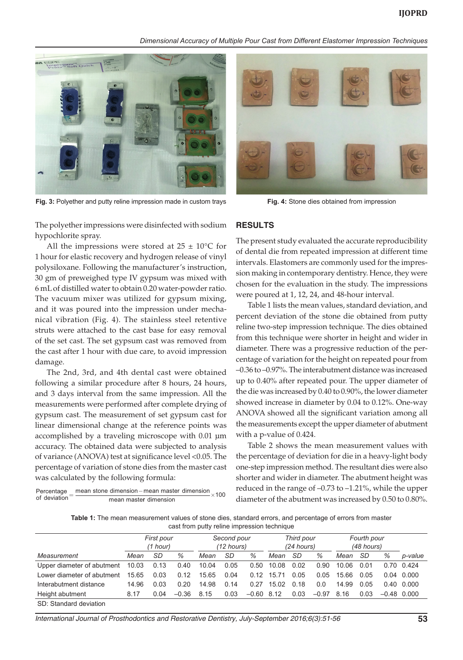*Dimensional Accuracy of Multiple Pour Cast from Different Elastomer Impression Techniques*



**Fig. 3:** Polyether and putty reline impression made in custom trays **Fig. 4:** Stone dies obtained from impression

The polyether impressions were disinfected with sodium hypochlorite spray.

All the impressions were stored at  $25 \pm 10^{\circ}$ C for 1 hour for elastic recovery and hydrogen release of vinyl polysiloxane. Following the manufacturer's instruction, 30 gm of preweighed type IV gypsum was mixed with 6 mL of distilled water to obtain 0.20 water-powder ratio. The vacuum mixer was utilized for gypsum mixing, and it was poured into the impression under mechanical vibration (Fig. 4). The stainless steel retentive struts were attached to the cast base for easy removal of the set cast. The set gypsum cast was removed from the cast after 1 hour with due care, to avoid impression damage.

The 2nd, 3rd, and 4th dental cast were obtained following a similar procedure after 8 hours, 24 hours, and 3 days interval from the same impression. All the measurements were performed after complete drying of gypsum cast. The measurement of set gypsum cast for linear dimensional change at the reference points was accomplished by a traveling microscope with 0.01 µm accuracy. The obtained data were subjected to analysis of variance (ANOVA) test at significance level <0.05. The percentage of variation of stone dies from the master cast was calculated by the following formula:

 $\text{Percentage} = \frac{\text{mean stone dimension} - \text{mean master dimension}}{\text{mean master dimension}} \times 100$ 



### **RESULTS**

The present study evaluated the accurate reproducibility of dental die from repeated impression at different time intervals. Elastomers are commonly used for the impression making in contemporary dentistry. Hence, they were chosen for the evaluation in the study. The impressions were poured at 1, 12, 24, and 48-hour interval.

Table 1 lists the mean values, standard deviation, and percent deviation of the stone die obtained from putty reline two-step impression technique. The dies obtained from this technique were shorter in height and wider in diameter. There was a progressive reduction of the percentage of variation for the height on repeated pour from –0.36 to –0.97%. The interabutment distance was increased up to 0.40% after repeated pour. The upper diameter of the die was increased by 0.40 to 0.90%, the lower diameter showed increase in diameter by 0.04 to 0.12%. One-way ANOVA showed all the significant variation among all the measurements except the upper diameter of abutment with a p-value of 0.424.

Table 2 shows the mean measurement values with the percentage of deviation for die in a heavy-light body one-step impression method. The resultant dies were also shorter and wider in diameter. The abutment height was reduced in the range of –0.73 to –1.21%, while the upper diameter of the abutment was increased by 0.50 to 0.80%.

**Table 1:** The mean measurement values of stone dies, standard errors, and percentage of errors from master cast from putty reline impression technique

|                            | First pour<br>(1 hour) |      |         | Second pour<br>(12 hours) |      |              | Third pour<br>(24 hours) |      |         | Fourth pour<br>(48 hours) |      |               |                    |
|----------------------------|------------------------|------|---------|---------------------------|------|--------------|--------------------------|------|---------|---------------------------|------|---------------|--------------------|
| Measurement                | Mean                   | SD   | %       | Mean                      | SD   | %            | Mean                     | -SD  | %       | Mean                      | SD   | %             | p-value            |
| Upper diameter of abutment | 10.03                  | 0.13 | 0.40    | 10.04                     | 0.05 | 0.50         | 10.08                    | 0.02 | 0.90    | 10.06                     | 0.01 |               | 0.70 0.424         |
| Lower diameter of abutment | 15.65                  | 0.03 | 0.12    | 15.65                     | 0.04 | 0.12         | 15.71                    | 0.05 | 0.05    | 15.66                     | 0.05 | 0.04          | 0.000              |
| Interabutment distance     | 14.96                  | 0.03 | 0.20    | 14.98                     | 0.14 | 0.27         | 15.02                    | 0.18 | 0.0     | 14.99                     | 0.05 |               | $0.40 \quad 0.000$ |
| Height abutment            | 8.17                   | 0.04 | $-0.36$ | 8.15                      | 0.03 | $-0.60$ 8.12 |                          | 0.03 | $-0.97$ | 8.16                      | 0.03 | $-0.48$ 0.000 |                    |
| SD: Standard deviation     |                        |      |         |                           |      |              |                          |      |         |                           |      |               |                    |

*International Journal of Prosthodontics and Restorative Dentistry, July-September 2016;6(3):51-56* **53**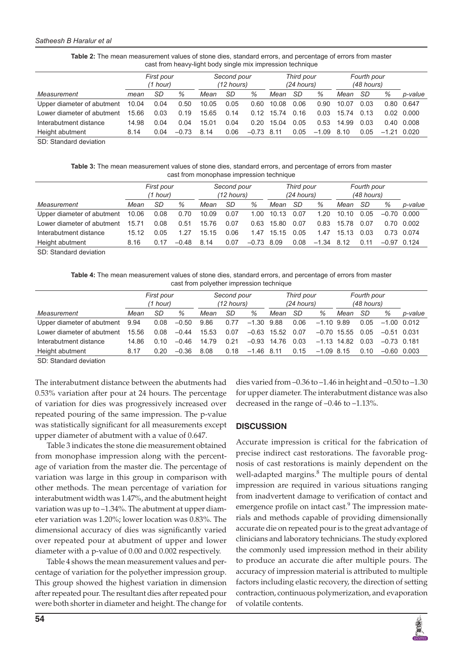#### *Satheesh B Haralur et al*

| Cast from Heavy-Hynt Douy Single Hijk Implession technique |                        |      |         |                           |      |         |                            |      |         |                           |      |         |                    |
|------------------------------------------------------------|------------------------|------|---------|---------------------------|------|---------|----------------------------|------|---------|---------------------------|------|---------|--------------------|
|                                                            | First pour<br>(1 hour) |      |         | Second pour<br>(12 hours) |      |         | Third pour<br>$(24$ hours) |      |         | Fourth pour<br>(48 hours) |      |         |                    |
| Measurement                                                | mean                   | SD   | %       | Mean                      | SD   | %       | Mean                       | SD   | %       | Mean                      | SD   | %       | p-value            |
| Upper diameter of abutment                                 | 10.04                  | 0.04 | 0.50    | 10.05                     | 0.05 | 0.60    | 10.08                      | 0.06 | 0.90    | 10.07                     | 0.03 | 0.80    | 0.647              |
| Lower diameter of abutment                                 | 15.66                  | 0.03 | 0.19    | 15.65                     | 0.14 | 0.12    | 15.74                      | 0.16 | 0.03    | 15.74                     | 0.13 |         | $0.02 \quad 0.000$ |
| Interabutment distance                                     | 14.98                  | 0.04 | 0.04    | 15.01                     | 0.04 | 0.20    | 15.04                      | 0.05 | 0.53    | 14.99                     | 0.03 | 0.40    | 0.008              |
| Height abutment                                            | 8.14                   | 0.04 | $-0.73$ | 8.14                      | 0.06 | $-0.73$ | 8.11                       | 0.05 | $-1.09$ | 8.10                      | 0.05 | $-1.21$ | 0.020              |

**Table 2:** The mean measurement values of stone dies, standard errors, and percentage of errors from master cast from heavy-light body single mix impression technique

SD: Standard deviation

| Table 3: The mean measurement values of stone dies, standard errors, and percentage of errors from master |
|-----------------------------------------------------------------------------------------------------------|
| cast from monophase impression technique                                                                  |

|                            | First pour<br>(1 hour) |      |         | Second pour<br>(12 hours) |      |         | Third pour<br>$(24$ hours) |      |         | Fourth pour<br>(48 hours) |      |               |            |
|----------------------------|------------------------|------|---------|---------------------------|------|---------|----------------------------|------|---------|---------------------------|------|---------------|------------|
| Measurement                | Mean                   | SD   | %       | Mean                      | SD   | %       | Mean                       | SD   | %       | Mean                      | SD   | %             | p-value    |
| Upper diameter of abutment | 10.06                  | 0.08 | 0.70    | 10.09                     | 0.07 | 1.00    | 10.13                      | 0.07 | 1.20    | 10.10                     | 0.05 | $-0.70$ 0.000 |            |
| Lower diameter of abutment | 15.71                  | 0.08 | 0.51    | 15.76                     | 0.07 | 0.63    | 15.80                      | 0.07 | 0.83    | 15.78                     | 0.07 |               | 0.70 0.002 |
| Interabutment distance     | 15.12                  | 0.05 | 1.27    | 15.15                     | 0.06 | 1.47    | 15.15                      | 0.05 | 1.47    | 15.13                     | 0.03 |               | 0.73 0.074 |
| Height abutment            | 8.16                   | 0.17 | $-0.48$ | 8.14                      | 0.07 | $-0.73$ | 8.09                       | 0.08 | $-1.34$ | 8.12                      | 0.11 | $-0.97$       | 0.124      |

SD: Standard deviation

**Table 4:** The mean measurement values of stone dies, standard errors, and percentage of errors from master cast from polyether impression technique

|                            | First pour<br>(1 hour) |      |         | Second pour<br>$(12 \text{ hours})$ |      |              | Third pour<br>$(24$ hours) |      |               | Fourth pour<br>(48 hours) |      |               |         |
|----------------------------|------------------------|------|---------|-------------------------------------|------|--------------|----------------------------|------|---------------|---------------------------|------|---------------|---------|
| Measurement                | Mean                   | SD   | %       | Mean                                | SD   | %            | Mean                       | SD   | %             | Mean                      | -SD  | ℅             | p-value |
| Upper diameter of abutment | 9.94                   | 0.08 | $-0.50$ | 9.86                                | 0.77 | $-1.30$ 9.88 |                            | 0.06 | $-1.10$ 9.89  |                           | 0.05 | $-1.00$ 0.012 |         |
| Lower diameter of abutment | 15.56                  | 0.08 | $-0.44$ | 15.53                               | 0.07 | $-0.63$      | 15.52                      | 0.07 |               | $-0.70$ 15.55             | 0.05 | $-0.51$ 0.031 |         |
| Interabutment distance     | 14.86                  | 0.10 | $-0.46$ | 14.79                               | 0.21 | $-0.93$      | 14.76                      | 0.03 | $-1.13$ 14.82 |                           | 0.03 | $-0.73$ 0.181 |         |
| Height abutment            | 8.17                   | 0.20 | $-0.36$ | 8.08                                | 0.18 | $-1.46$ 8.11 |                            | 0.15 | $-1.09$ 8.15  |                           | 0.10 | $-0.60$ 0.003 |         |

SD: Standard deviation

The interabutment distance between the abutments had 0.53% variation after pour at 24 hours. The percentage of variation for dies was progressively increased over repeated pouring of the same impression. The p-value was statistically significant for all measurements except upper diameter of abutment with a value of 0.647.

Table 3 indicates the stone die measurement obtained from monophase impression along with the percentage of variation from the master die. The percentage of variation was large in this group in comparison with other methods. The mean percentage of variation for interabutment width was 1.47%, and the abutment height variation was up to –1.34%. The abutment at upper diameter variation was 1.20%; lower location was 0.83%. The dimensional accuracy of dies was significantly varied over repeated pour at abutment of upper and lower diameter with a p-value of 0.00 and 0.002 respectively.

Table 4 shows the mean measurement values and percentage of variation for the polyether impression group. This group showed the highest variation in dimension after repeated pour. The resultant dies after repeated pour were both shorter in diameter and height. The change for dies varied from –0.36 to –1.46 in height and –0.50 to –1.30 for upper diameter. The interabutment distance was also decreased in the range of –0.46 to –1.13%.

## **DISCUSSION**

Accurate impression is critical for the fabrication of precise indirect cast restorations. The favorable prognosis of cast restorations is mainly dependent on the well-adapted margins.<sup>8</sup> The multiple pours of dental impression are required in various situations ranging from inadvertent damage to verification of contact and emergence profile on intact cast.<sup>9</sup> The impression materials and methods capable of providing dimensionally accurate die on repeated pour is to the great advantage of clinicians and laboratory technicians. The study explored the commonly used impression method in their ability to produce an accurate die after multiple pours. The accuracy of impression material is attributed to multiple factors including elastic recovery, the direction of setting contraction, continuous polymerization, and evaporation of volatile contents.

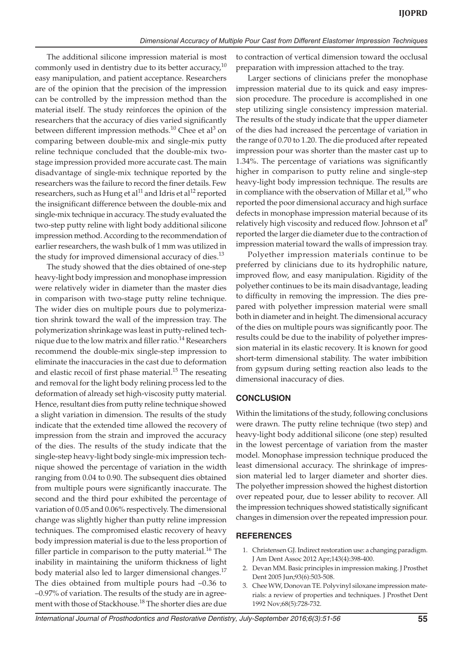The additional silicone impression material is most commonly used in dentistry due to its better accuracy, $10$ easy manipulation, and patient acceptance. Researchers are of the opinion that the precision of the impression can be controlled by the impression method than the material itself. The study reinforces the opinion of the researchers that the accuracy of dies varied significantly between different impression methods.<sup>10</sup> Chee et al<sup>3</sup> on comparing between double-mix and single-mix putty reline technique concluded that the double-mix twostage impression provided more accurate cast. The main disadvantage of single-mix technique reported by the researchers was the failure to record the finer details. Few researchers, such as Hung et al<sup>11</sup> and Idris et al<sup>12</sup> reported the insignificant difference between the double-mix and single-mix technique in accuracy. The study evaluated the two-step putty reline with light body additional silicone impression method. According to the recommendation of earlier researchers, the wash bulk of 1 mm was utilized in the study for improved dimensional accuracy of dies. $^{13}$ 

The study showed that the dies obtained of one-step heavy-light body impression and monophase impression were relatively wider in diameter than the master dies in comparison with two-stage putty reline technique. The wider dies on multiple pours due to polymerization shrink toward the wall of the impression tray. The polymerization shrinkage was least in putty-relined technique due to the low matrix and filler ratio.<sup>14</sup> Researchers recommend the double-mix single-step impression to eliminate the inaccuracies in the cast due to deformation and elastic recoil of first phase material.<sup>15</sup> The reseating and removal for the light body relining process led to the deformation of already set high-viscosity putty material. Hence, resultant dies from putty reline technique showed a slight variation in dimension. The results of the study indicate that the extended time allowed the recovery of impression from the strain and improved the accuracy of the dies. The results of the study indicate that the single-step heavy-light body single-mix impression technique showed the percentage of variation in the width ranging from 0.04 to 0.90. The subsequent dies obtained from multiple pours were significantly inaccurate. The second and the third pour exhibited the percentage of variation of 0.05 and 0.06% respectively. The dimensional change was slightly higher than putty reline impression techniques. The compromised elastic recovery of heavy body impression material is due to the less proportion of filler particle in comparison to the putty material.<sup>16</sup> The inability in maintaining the uniform thickness of light body material also led to larger dimensional changes.<sup>17</sup> The dies obtained from multiple pours had –0.36 to –0.97% of variation. The results of the study are in agreement with those of Stackhouse.<sup>18</sup> The shorter dies are due

to contraction of vertical dimension toward the occlusal preparation with impression attached to the tray.

Larger sections of clinicians prefer the monophase impression material due to its quick and easy impression procedure. The procedure is accomplished in one step utilizing single consistency impression material. The results of the study indicate that the upper diameter of the dies had increased the percentage of variation in the range of 0.70 to 1.20. The die produced after repeated impression pour was shorter than the master cast up to 1.34%. The percentage of variations was significantly higher in comparison to putty reline and single-step heavy-light body impression technique. The results are in compliance with the observation of Millar et al,<sup>19</sup> who reported the poor dimensional accuracy and high surface defects in monophase impression material because of its relatively high viscosity and reduced flow. Johnson et al<sup>9</sup> reported the larger die diameter due to the contraction of impression material toward the walls of impression tray.

Polyether impression materials continue to be preferred by clinicians due to its hydrophilic nature, improved flow, and easy manipulation. Rigidity of the polyether continues to be its main disadvantage, leading to difficulty in removing the impression. The dies prepared with polyether impression material were small both in diameter and in height. The dimensional accuracy of the dies on multiple pours was significantly poor. The results could be due to the inability of polyether impression material in its elastic recovery. It is known for good short-term dimensional stability. The water imbibition from gypsum during setting reaction also leads to the dimensional inaccuracy of dies.

## **CONCLUSION**

Within the limitations of the study, following conclusions were drawn. The putty reline technique (two step) and heavy-light body additional silicone (one step) resulted in the lowest percentage of variation from the master model. Monophase impression technique produced the least dimensional accuracy. The shrinkage of impression material led to larger diameter and shorter dies. The polyether impression showed the highest distortion over repeated pour, due to lesser ability to recover. All the impression techniques showed statistically significant changes in dimension over the repeated impression pour.

## **REFERENCES**

- 1. Christensen GJ. Indirect restoration use: a changing paradigm. J Am Dent Assoc 2012 Apr;143(4):398-400.
- 2. Devan MM. Basic principles in impression making. J Prosthet Dent 2005 Jun;93(6):503-508.
- 3. Chee WW, Donovan TE. Polyvinyl siloxane impression materials: a review of properties and techniques. J Prosthet Dent 1992 Nov;68(5):728-732.

*International Journal of Prosthodontics and Restorative Dentistry, July-September 2016;6(3):51-56* **55**